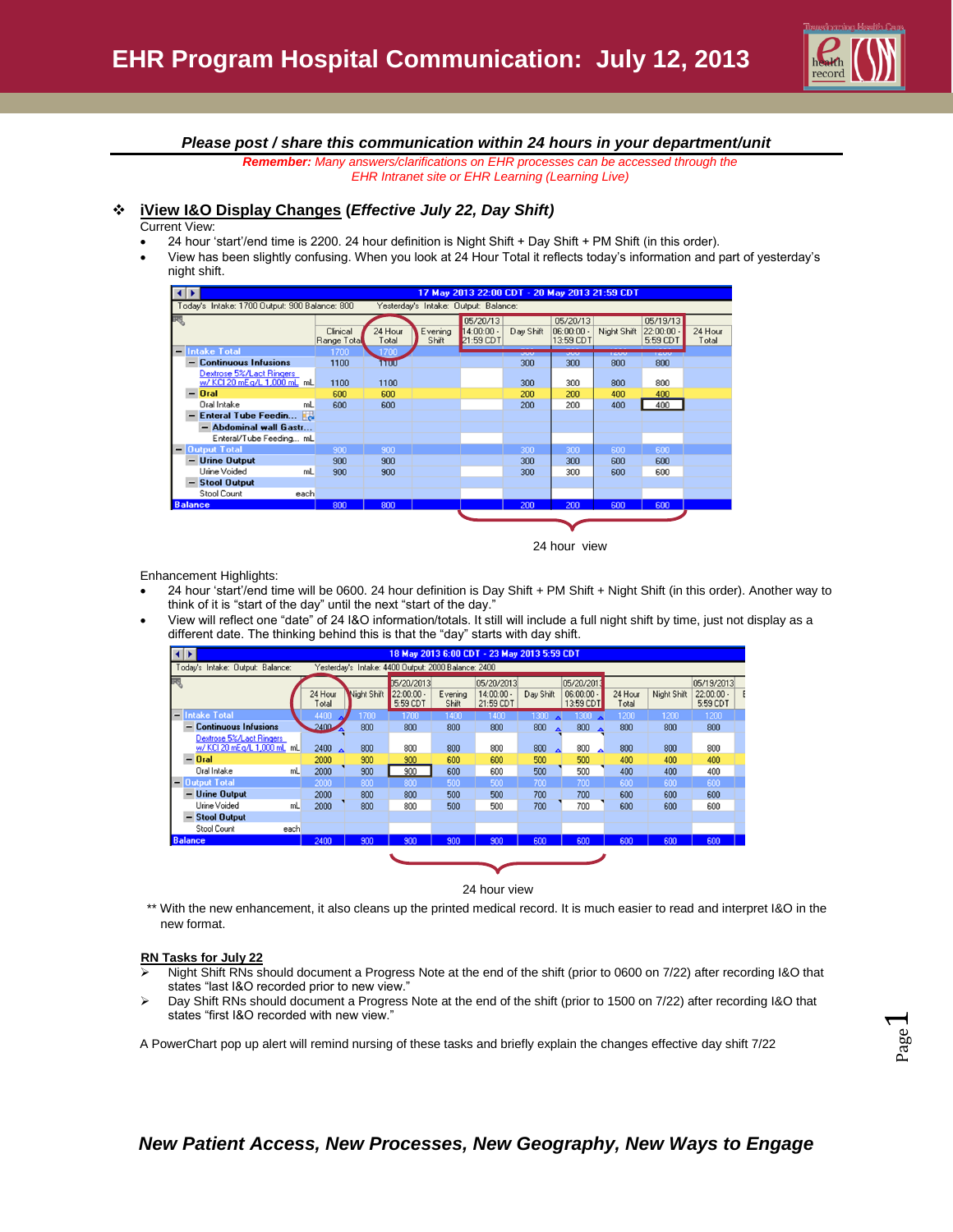

## *Please post / share this communication within 24 hours in your department/unit*

*Remember: Many answers/clarifications on EHR processes can be accessed through the EHR Intranet site or EHR Learning (Learning Live)*

# **iView I&O Display Changes (***Effective July 22, Day Shift)*

#### Current View:

- 24 hour 'start'/end time is 2200. 24 hour definition is Night Shift + Day Shift + PM Shift (in this order).
- View has been slightly confusing. When you look at 24 Hour Total it reflects today's information and part of yesterday's night shift.



24 hour view

Enhancement Highlights:

- 24 hour 'start'/end time will be 0600. 24 hour definition is Day Shift + PM Shift + Night Shift (in this order). Another way to think of it is "start of the day" until the next "start of the day."
- View will reflect one "date" of 24 I&O information/totals. It still will include a full night shift by time, just not display as a different date. The thinking behind this is that the "day" starts with day shift.

| ∢ D<br>18 May 2013 6:00 CDT - 23 May 2013 5:59 CDT |                                                                                         |      |                  |             |                            |         |                            |                         |                                 |         |             |                            |  |
|----------------------------------------------------|-----------------------------------------------------------------------------------------|------|------------------|-------------|----------------------------|---------|----------------------------|-------------------------|---------------------------------|---------|-------------|----------------------------|--|
|                                                    | Yesterday's Intake: 4400 Output: 2000 Balance: 2400<br>Today's Intake: Output: Balance: |      |                  |             |                            |         |                            |                         |                                 |         |             |                            |  |
|                                                    |                                                                                         |      | 24 Hour          | Night Shift | 05/20/2013<br>$22:00:00 -$ | Evening | 05/20/2013<br>$14:00:00 -$ | Day Shift               | 05/20/2013<br>$06:00:00 -$      | 24 Hour | Night Shift | 05/19/2013<br>$22:00:00 -$ |  |
|                                                    |                                                                                         |      | Total            |             | 5:59 CDT                   | Shift   | 21:59 CDT                  |                         | 13:59 CDT                       | Total   |             | 5:59 CDT                   |  |
|                                                    | - Intake Total                                                                          |      | 4400             | 1700        | 1700                       | 1400    | 1400                       | 1300                    | $1300$ $\triangle$              | 1200    | 1200        | 1200                       |  |
| -                                                  | <b>Continuous Infusions</b>                                                             |      | $2400 -$         | 800         | 800                        | 800     | 800                        | 800<br>$\blacktriangle$ | 800<br>$\overline{\phantom{a}}$ | 800     | 800         | 800                        |  |
|                                                    | Dextrose 5%/Lact Ringers<br>w/ KCI 20 mEg/L 1,000 mL mL                                 |      | 2400 $\triangle$ | 800         | 800                        | 800     | 800                        | 800<br>$\blacktriangle$ | 800<br>▲                        | 800     | 800         | 800                        |  |
|                                                    | $-$ Oral                                                                                |      | 2000             | 900         | 900                        | 600     | 600                        | 500                     | 500                             | 400     | 400         | 400                        |  |
|                                                    | Oral Intake                                                                             | mL   | 2000             | 900         | 900                        | 600     | 600                        | 500                     | 500                             | 400     | 400         | 400                        |  |
|                                                    | - Output Total                                                                          |      | 2000             | 800         | 800                        | 500     | 500                        | 700                     | 700                             | 600     | 600         | 600                        |  |
| -                                                  | <b>Urine Output</b>                                                                     |      | 2000             | 800         | 800                        | 500     | 500                        | 700                     | 700                             | 600     | 600         | 600                        |  |
|                                                    | Urine Voided                                                                            | mL   | 2000             | 800         | 800                        | 500     | 500                        | 700                     | 700                             | 600     | 600         | 600                        |  |
| -                                                  | <b>Stool Output</b>                                                                     |      |                  |             |                            |         |                            |                         |                                 |         |             |                            |  |
|                                                    | Stool Count                                                                             | each |                  |             |                            |         |                            |                         |                                 |         |             |                            |  |
| <b>Balance</b><br>2400                             |                                                                                         | 900  | 900              | 900         | 900                        | 600     | 600                        | 600                     | 600                             | 600     |             |                            |  |
|                                                    |                                                                                         |      |                  |             |                            |         |                            |                         |                                 |         |             |                            |  |
|                                                    |                                                                                         |      |                  |             |                            |         |                            |                         |                                 |         |             |                            |  |

24 hour view

\*\* With the new enhancement, it also cleans up the printed medical record. It is much easier to read and interpret I&O in the new format.

### **RN Tasks for July 22**

- Night Shift RNs should document a Progress Note at the end of the shift (prior to 0600 on 7/22) after recording I&O that states "last I&O recorded prior to new view."
- ▶ Day Shift RNs should document a Progress Note at the end of the shift (prior to 1500 on 7/22) after recording I&O that states "first I&O recorded with new view."

A PowerChart pop up alert will remind nursing of these tasks and briefly explain the changes effective day shift 7/22